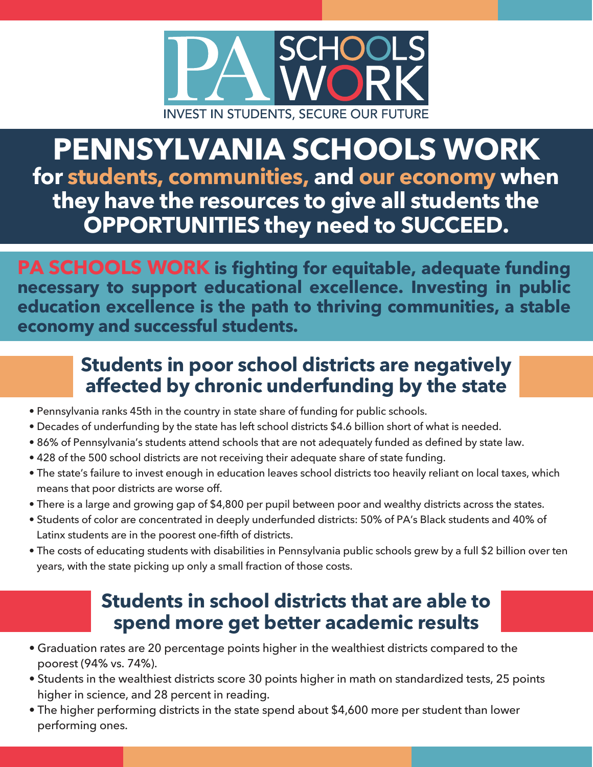

## **PENNSYLVANIA SCHOOLS WORK for students, communities, and our economy when they have the resources to give all students the OPPORTUNITIES they need to SUCCEED.**

**PA SCHOOLS WORK is fighting for equitable, adequate funding necessary to support educational excellence. Investing in public education excellence is the path to thriving communities, a stable economy and successful students.**

## **Students in poor school districts are negatively affected by chronic underfunding by the state**

- Pennsylvania ranks 45th in the country in state share of funding for public schools.
- Decades of underfunding by the state has left school districts \$4.6 billion short of what is needed.
- 86% of Pennsylvania's students attend schools that are not adequately funded as defined by state law.
- 428 of the 500 school districts are not receiving their adequate share of state funding.
- The state's failure to invest enough in education leaves school districts too heavily reliant on local taxes, which means that poor districts are worse off.
- There is a large and growing gap of \$4,800 per pupil between poor and wealthy districts across the states.
- ï Students of color are concentrated in deeply underfunded districts: 50% of PA's Black students and 40% of Latinx students are in the poorest one-fifth of districts.
- The costs of educating students with disabilities in Pennsylvania public schools grew by a full \$2 billion over ten years, with the state picking up only a small fraction of those costs.

## **Students in school districts that are able to spend more get better academic results**

- Graduation rates are 20 percentage points higher in the wealthiest districts compared to the poorest (94% vs. 74%).
- Students in the wealthiest districts score 30 points higher in math on standardized tests, 25 points higher in science, and 28 percent in reading.
- The higher performing districts in the state spend about \$4,600 more per student than lower performing ones.